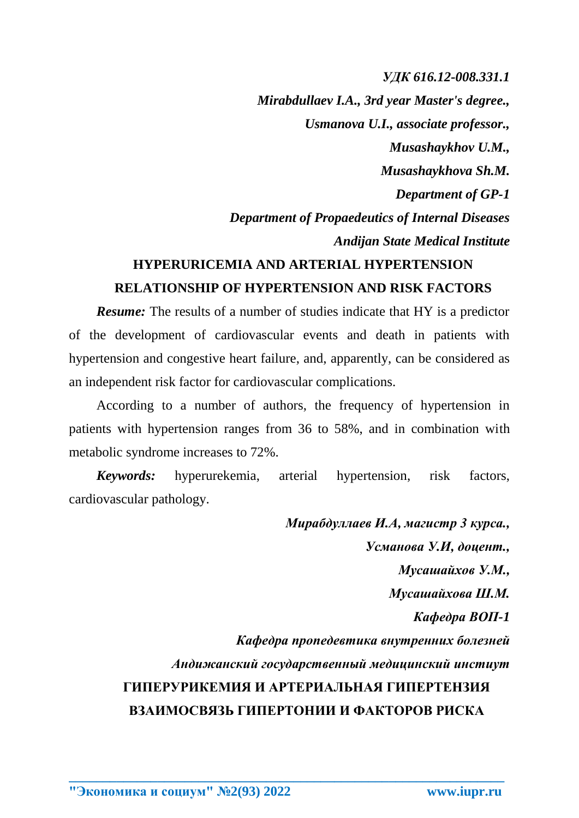## *УДК 616.12-008.331.1*

*Mirabdullaev I.A., 3rd year Master's degree., Usmanova U.I., associate professor., Musashaykhov U.M., Musashaykhova Sh.M. Department of GP-1 Department of Propaedeutics of Internal Diseases Andijan State Medical Institute*

## **HYPERURICEMIA AND ARTERIAL HYPERTENSION RELATIONSHIP OF HYPERTENSION AND RISK FACTORS**

*Resume:* The results of a number of studies indicate that HY is a predictor of the development of cardiovascular events and death in patients with hypertension and congestive heart failure, and, apparently, can be considered as an independent risk factor for cardiovascular complications.

According to a number of authors, the frequency of hypertension in patients with hypertension ranges from 36 to 58%, and in combination with metabolic syndrome increases to 72%.

*Keywords:* hyperurekemia, arterial hypertension, risk factors, cardiovascular pathology.

**\_\_\_\_\_\_\_\_\_\_\_\_\_\_\_\_\_\_\_\_\_\_\_\_\_\_\_\_\_\_\_\_\_\_\_\_\_\_\_\_\_\_\_\_\_\_\_\_\_\_\_\_\_\_\_\_\_\_\_\_\_\_\_\_**

*Мирабдуллаев И.А, магистр 3 курса., Усманова У.И, доцент., Мусашайхов У.М., Мусашайхова Ш.М. Кафедра ВОП-1 Кафедра пропедевтика внутренних болезней Андижанский государственный медицинский инстиут* **ГИПЕРУРИКЕМИЯ И АРТЕРИАЛЬНАЯ ГИПЕРТЕНЗИЯ ВЗАИМОСВЯЗЬ ГИПЕРТОНИИ И ФАКТОРОВ РИСКА**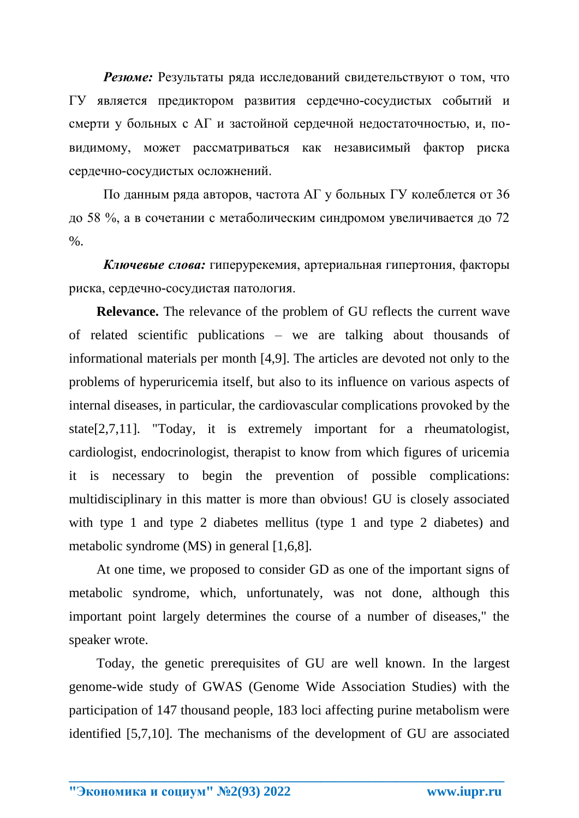*Резюме:* Результаты ряда исследований свидетельствуют о том, что ГУ является предиктором развития сердечно-сосудистых событий и смерти у больных с АГ и застойной сердечной недостаточностью, и, повидимому, может рассматриваться как независимый фактор риска сердечно-сосудистых осложнений.

По данным ряда авторов, частота АГ у больных ГУ колеблется от 36 до 58 %, а в сочетании с метаболическим синдромом увеличивается до 72  $\%$ .

*Ключевые слова:* гиперурекемия, артериальная гипертония, факторы риска, сердечно-сосудистая патология.

**Relevance.** The relevance of the problem of GU reflects the current wave of related scientific publications – we are talking about thousands of informational materials per month [4,9]. The articles are devoted not only to the problems of hyperuricemia itself, but also to its influence on various aspects of internal diseases, in particular, the cardiovascular complications provoked by the state[2,7,11]. "Today, it is extremely important for a rheumatologist, cardiologist, endocrinologist, therapist to know from which figures of uricemia it is necessary to begin the prevention of possible complications: multidisciplinary in this matter is more than obvious! GU is closely associated with type 1 and type 2 diabetes mellitus (type 1 and type 2 diabetes) and metabolic syndrome (MS) in general [1,6,8].

At one time, we proposed to consider GD as one of the important signs of metabolic syndrome, which, unfortunately, was not done, although this important point largely determines the course of a number of diseases," the speaker wrote.

Today, the genetic prerequisites of GU are well known. In the largest genome-wide study of GWAS (Genome Wide Association Studies) with the participation of 147 thousand people, 183 loci affecting purine metabolism were identified [5,7,10]. The mechanisms of the development of GU are associated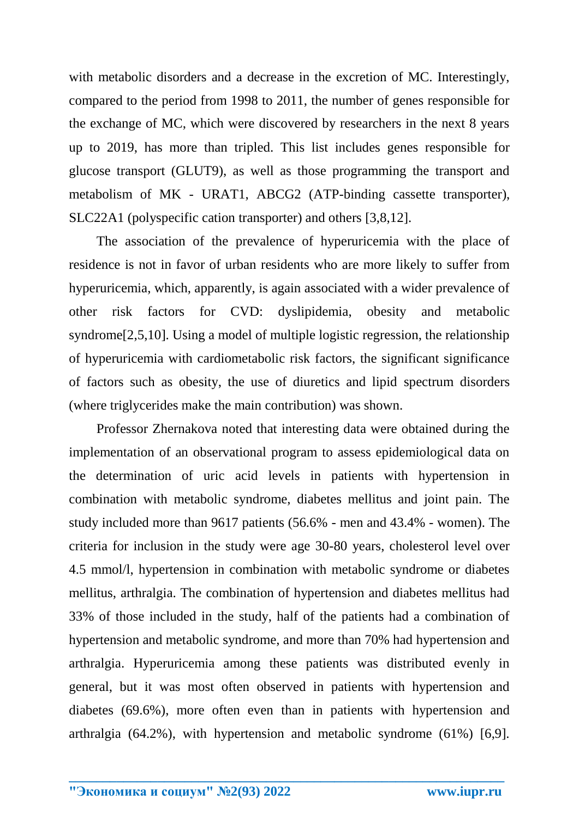with metabolic disorders and a decrease in the excretion of MC. Interestingly, compared to the period from 1998 to 2011, the number of genes responsible for the exchange of MC, which were discovered by researchers in the next 8 years up to 2019, has more than tripled. This list includes genes responsible for glucose transport (GLUT9), as well as those programming the transport and metabolism of MK - URAT1, ABCG2 (ATP-binding cassette transporter), SLC22A1 (polyspecific cation transporter) and others [3,8,12].

The association of the prevalence of hyperuricemia with the place of residence is not in favor of urban residents who are more likely to suffer from hyperuricemia, which, apparently, is again associated with a wider prevalence of other risk factors for CVD: dyslipidemia, obesity and metabolic syndrome[2,5,10]. Using a model of multiple logistic regression, the relationship of hyperuricemia with cardiometabolic risk factors, the significant significance of factors such as obesity, the use of diuretics and lipid spectrum disorders (where triglycerides make the main contribution) was shown.

Professor Zhernakova noted that interesting data were obtained during the implementation of an observational program to assess epidemiological data on the determination of uric acid levels in patients with hypertension in combination with metabolic syndrome, diabetes mellitus and joint pain. The study included more than 9617 patients (56.6% - men and 43.4% - women). The criteria for inclusion in the study were age 30-80 years, cholesterol level over 4.5 mmol/l, hypertension in combination with metabolic syndrome or diabetes mellitus, arthralgia. The combination of hypertension and diabetes mellitus had 33% of those included in the study, half of the patients had a combination of hypertension and metabolic syndrome, and more than 70% had hypertension and arthralgia. Hyperuricemia among these patients was distributed evenly in general, but it was most often observed in patients with hypertension and diabetes (69.6%), more often even than in patients with hypertension and arthralgia (64.2%), with hypertension and metabolic syndrome (61%) [6,9].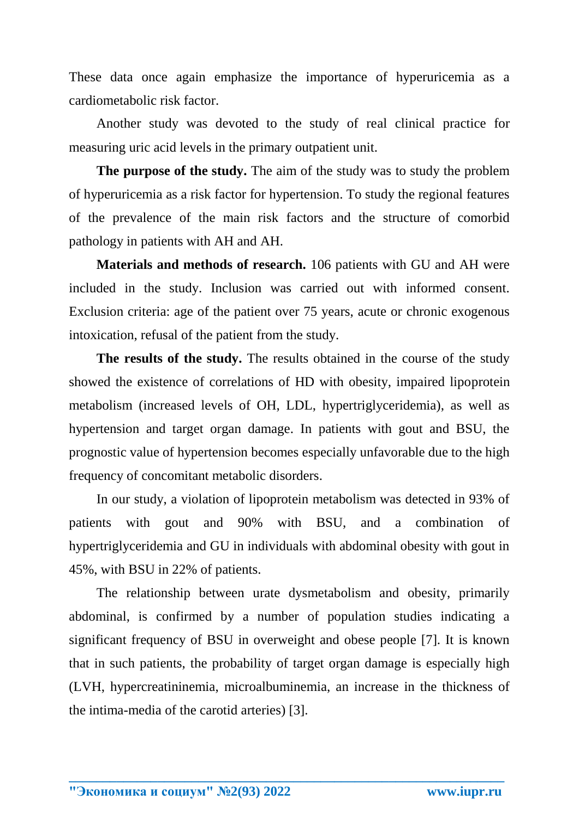These data once again emphasize the importance of hyperuricemia as a cardiometabolic risk factor.

Another study was devoted to the study of real clinical practice for measuring uric acid levels in the primary outpatient unit.

**The purpose of the study.** The aim of the study was to study the problem of hyperuricemia as a risk factor for hypertension. To study the regional features of the prevalence of the main risk factors and the structure of comorbid pathology in patients with AH and AH.

**Materials and methods of research.** 106 patients with GU and AH were included in the study. Inclusion was carried out with informed consent. Exclusion criteria: age of the patient over 75 years, acute or chronic exogenous intoxication, refusal of the patient from the study.

**The results of the study.** The results obtained in the course of the study showed the existence of correlations of HD with obesity, impaired lipoprotein metabolism (increased levels of OH, LDL, hypertriglyceridemia), as well as hypertension and target organ damage. In patients with gout and BSU, the prognostic value of hypertension becomes especially unfavorable due to the high frequency of concomitant metabolic disorders.

In our study, a violation of lipoprotein metabolism was detected in 93% of patients with gout and 90% with BSU, and a combination of hypertriglyceridemia and GU in individuals with abdominal obesity with gout in 45%, with BSU in 22% of patients.

The relationship between urate dysmetabolism and obesity, primarily abdominal, is confirmed by a number of population studies indicating a significant frequency of BSU in overweight and obese people [7]. It is known that in such patients, the probability of target organ damage is especially high (LVH, hypercreatininemia, microalbuminemia, an increase in the thickness of the intima-media of the carotid arteries) [3].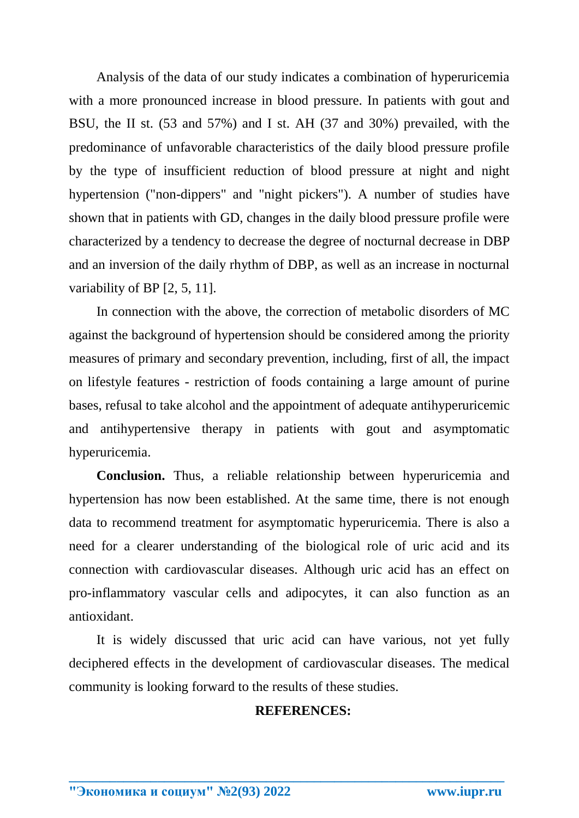Analysis of the data of our study indicates a combination of hyperuricemia with a more pronounced increase in blood pressure. In patients with gout and BSU, the II st. (53 and 57%) and I st. AH (37 and 30%) prevailed, with the predominance of unfavorable characteristics of the daily blood pressure profile by the type of insufficient reduction of blood pressure at night and night hypertension ("non-dippers" and "night pickers"). A number of studies have shown that in patients with GD, changes in the daily blood pressure profile were characterized by a tendency to decrease the degree of nocturnal decrease in DBP and an inversion of the daily rhythm of DBP, as well as an increase in nocturnal variability of BP [2, 5, 11].

In connection with the above, the correction of metabolic disorders of MC against the background of hypertension should be considered among the priority measures of primary and secondary prevention, including, first of all, the impact on lifestyle features - restriction of foods containing a large amount of purine bases, refusal to take alcohol and the appointment of adequate antihyperuricemic and antihypertensive therapy in patients with gout and asymptomatic hyperuricemia.

**Conclusion.** Thus, a reliable relationship between hyperuricemia and hypertension has now been established. At the same time, there is not enough data to recommend treatment for asymptomatic hyperuricemia. There is also a need for a clearer understanding of the biological role of uric acid and its connection with cardiovascular diseases. Although uric acid has an effect on pro-inflammatory vascular cells and adipocytes, it can also function as an antioxidant.

It is widely discussed that uric acid can have various, not yet fully deciphered effects in the development of cardiovascular diseases. The medical community is looking forward to the results of these studies.

**\_\_\_\_\_\_\_\_\_\_\_\_\_\_\_\_\_\_\_\_\_\_\_\_\_\_\_\_\_\_\_\_\_\_\_\_\_\_\_\_\_\_\_\_\_\_\_\_\_\_\_\_\_\_\_\_\_\_\_\_\_\_\_\_**

## **REFERENCES:**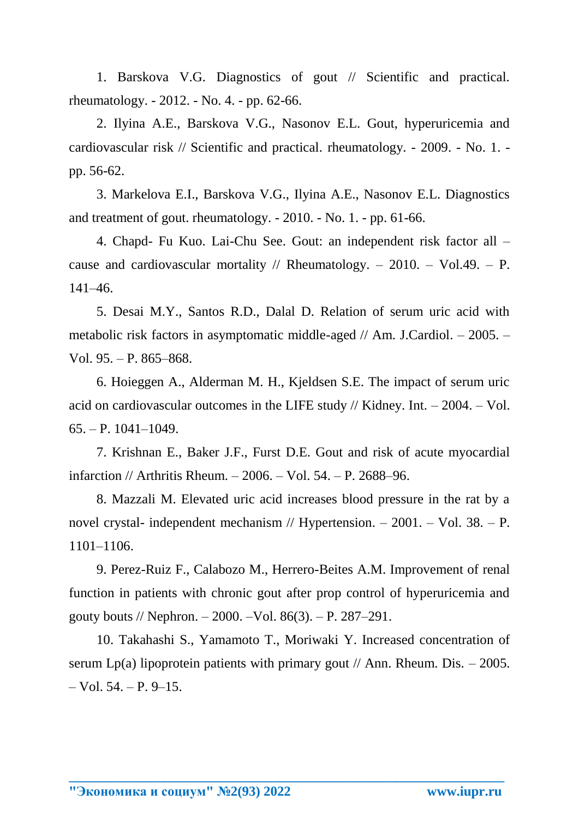1. Barskova V.G. Diagnostics of gout // Scientific and practical. rheumatology. - 2012. - No. 4. - pp. 62-66.

2. Ilyina A.E., Barskova V.G., Nasonov E.L. Gout, hyperuricemia and cardiovascular risk // Scientific and practical. rheumatology. - 2009. - No. 1. pp. 56-62.

3. Markelova E.I., Barskova V.G., Ilyina A.E., Nasonov E.L. Diagnostics and treatment of gout. rheumatology. - 2010. - No. 1. - pp. 61-66.

4. Chapd- Fu Kuo. Lai-Chu See. Gout: an independent risk factor all – cause and cardiovascular mortality // Rheumatology. – 2010. – Vol.49. – P. 141–46.

5. Desai M.Y., Santos R.D., Dalal D. Relation of serum uric acid with metabolic risk factors in asymptomatic middle-aged // Am. J.Cardiol. – 2005. – Vol. 95. – P. 865–868.

6. Hoieggen A., Alderman M. H., Kjeldsen S.E. The impact of serum uric acid on cardiovascular outcomes in the LIFE study // Kidney. Int. – 2004. – Vol. 65. – P. 1041–1049.

7. Krishnan E., Baker J.F., Furst D.E. Gout and risk of acute myocardial infarction // Arthritis Rheum. – 2006. – Vol. 54. – P. 2688–96.

8. Mazzali M. Elevated uric acid increases blood pressure in the rat by a novel crystal- independent mechanism // Hypertension. – 2001. – Vol. 38. – P. 1101–1106.

9. Perez-Ruiz F., Calabozo M., Herrero-Beites A.M. Improvement of renal function in patients with chronic gout after prop control of hyperuricemia and gouty bouts // Nephron. – 2000. –Vol. 86(3). – P. 287–291.

10. Takahashi S., Yamamoto T., Moriwaki Y. Increased concentration of serum Lp(a) lipoprotein patients with primary gout  $\ell$  Ann. Rheum. Dis. – 2005.  $-$  Vol. 54.  $-$  P. 9–15.